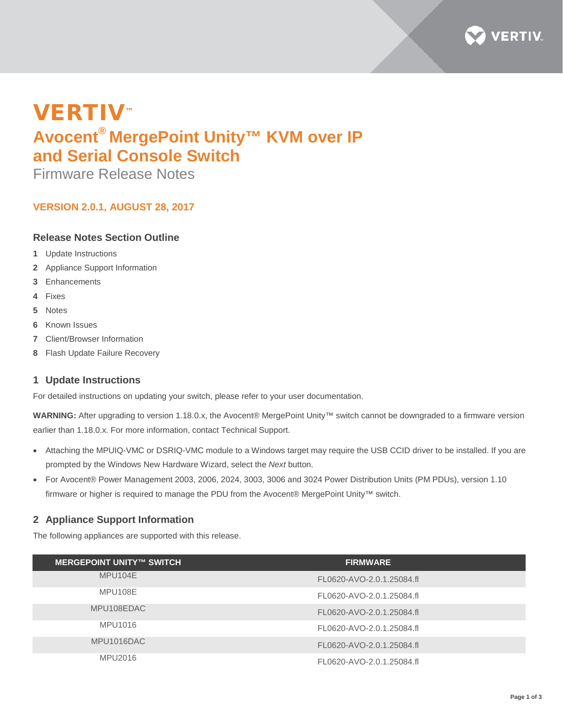

# VERTIV™ **Avocent® MergePoint Unity™ KVM over IP and Serial Console Switch**

Firmware Release Notes

# **VERSION 2.0.1, AUGUST 28, 2017**

## **Release Notes Section Outline**

- **1** Update Instructions
- **2** Appliance Support Information
- **3** Enhancements
- **4** Fixes
- **5** Notes
- **6** Known Issues
- **7** Client/Browser Information
- **8** Flash Update Failure Recovery

### **1 Update Instructions**

For detailed instructions on updating your switch, please refer to your user documentation.

**WARNING:** After upgrading to version 1.18.0.x, the Avocent® MergePoint Unity™ switch cannot be downgraded to a firmware version earlier than 1.18.0.x. For more information, contact Technical Support.

- Attaching the MPUIQ-VMC or DSRIQ-VMC module to a Windows target may require the USB CCID driver to be installed. If you are prompted by the Windows New Hardware Wizard, select the *Next* button.
- For Avocent® Power Management 2003, 2006, 2024, 3003, 3006 and 3024 Power Distribution Units (PM PDUs), version 1.10 firmware or higher is required to manage the PDU from the Avocent® MergePoint Unity™ switch.

# **2 Appliance Support Information**

The following appliances are supported with this release.

| <b>MERGEPOINT UNITY™ SWITCH</b> | <b>FIRMWARE</b>           |
|---------------------------------|---------------------------|
|                                 |                           |
| MPU104E                         | FL0620-AVO-2.0.1.25084.fl |
| MPU108E                         | FL0620-AVO-2.0.1.25084.fl |
| MPU108EDAC                      | FL0620-AVO-2.0.1.25084.fl |
| MPU1016                         | FL0620-AVO-2.0.1.25084.fl |
| MPU1016DAC                      | FL0620-AVO-2.0.1.25084.fl |
| MPU2016                         | FL0620-AVO-2.0.1.25084.fl |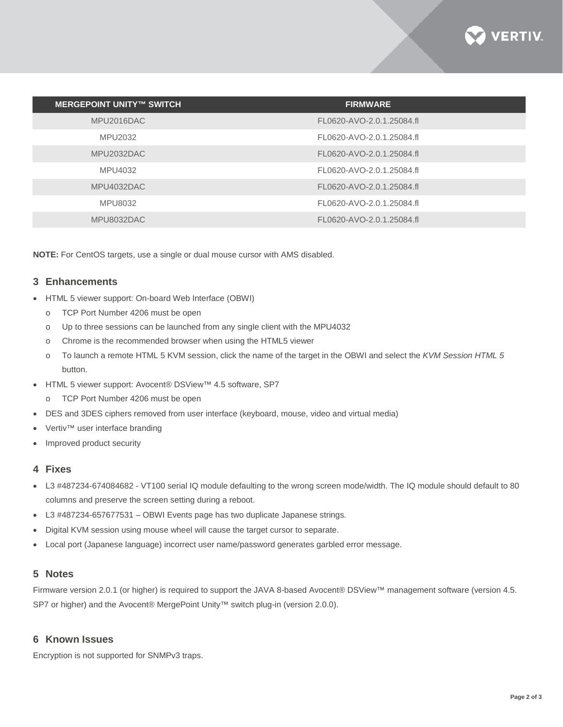

| <b>MERGEPOINT UNITY™ SWITCH</b> | <b>FIRMWARE</b>           |
|---------------------------------|---------------------------|
| MPU2016DAC                      | FL0620-AVO-2.0.1.25084.fl |
| MPU2032                         | FL0620-AVO-2.0.1.25084.fl |
| MPU2032DAC                      | FL0620-AVO-2.0.1.25084.fl |
| MPU4032                         | FL0620-AVO-2.0.1.25084.fl |
| MPU4032DAC                      | FL0620-AVO-2.0.1.25084.fl |
| MPU8032                         | FL0620-AVO-2.0.1.25084.fl |
| MPU8032DAC                      | FL0620-AVO-2.0.1.25084.fl |

**NOTE:** For CentOS targets, use a single or dual mouse cursor with AMS disabled.

#### **3 Enhancements**

- HTML 5 viewer support: On-board Web Interface (OBWI)
	- o TCP Port Number 4206 must be open
	- o Up to three sessions can be launched from any single client with the MPU4032
	- o Chrome is the recommended browser when using the HTML5 viewer
	- o To launch a remote HTML 5 KVM session, click the name of the target in the OBWI and select the *KVM Session HTML 5* button.
- HTML 5 viewer support: Avocent® DSView™ 4.5 software, SP7
	- o TCP Port Number 4206 must be open
- DES and 3DES ciphers removed from user interface (keyboard, mouse, video and virtual media)
- Vertiv™ user interface branding
- Improved product security

### **4 Fixes**

- L3 #487234-674084682 VT100 serial IQ module defaulting to the wrong screen mode/width. The IQ module should default to 80 columns and preserve the screen setting during a reboot.
- L3 #487234-657677531 OBWI Events page has two duplicate Japanese strings.
- Digital KVM session using mouse wheel will cause the target cursor to separate.
- Local port (Japanese language) incorrect user name/password generates garbled error message.

### **5 Notes**

Firmware version 2.0.1 (or higher) is required to support the JAVA 8-based Avocent® DSView™ management software (version 4.5. SP7 or higher) and the Avocent® MergePoint Unity™ switch plug-in (version 2.0.0).

#### **6 Known Issues**

Encryption is not supported for SNMPv3 traps.